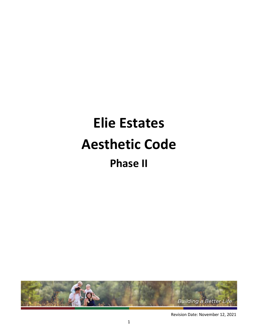# **Elie Estates Aesthetic Code Phase II**



Revision Date: November 12, 2021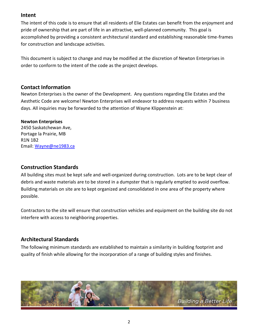## **Intent**

The intent of this code is to ensure that all residents of Elie Estates can benefit from the enjoyment and pride of ownership that are part of life in an attractive, well-planned community. This goal is accomplished by providing a consistent architectural standard and establishing reasonable time-frames for construction and landscape activities.

This document is subject to change and may be modified at the discretion of Newton Enterprises in order to conform to the intent of the code as the project develops.

# **Contact Information**

Newton Enterprises is the owner of the Development. Any questions regarding Elie Estates and the Aesthetic Code are welcome! Newton Enterprises will endeavor to address requests within 7 business days. All inquiries may be forwarded to the attention of Wayne Klippenstein at:

#### **Newton Enterprises**

2450 Saskatchewan Ave, Portage la Prairie, MB R1N 1B2 Email: [Wayne@ne1983.ca](mailto:Wayne@ne1983.ca)

#### **Construction Standards**

All building sites must be kept safe and well-organized during construction. Lots are to be kept clear of debris and waste materials are to be stored in a dumpster that is regularly emptied to avoid overflow. Building materials on site are to kept organized and consolidated in one area of the property where possible.

Contractors to the site will ensure that construction vehicles and equipment on the building site do not interfere with access to neighboring properties.

# **Architectural Standards**

The following minimum standards are established to maintain a similarity in building footprint and quality of finish while allowing for the incorporation of a range of building styles and finishes.